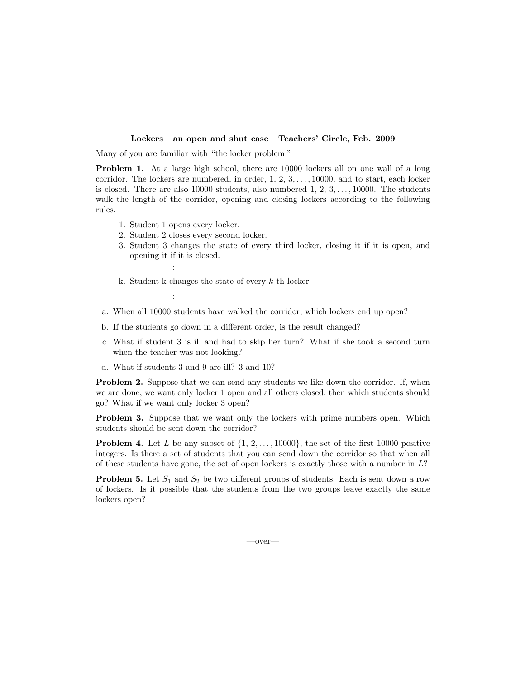## Lockers—an open and shut case—Teachers' Circle, Feb. 2009

Many of you are familiar with "the locker problem:"

Problem 1. At a large high school, there are 10000 lockers all on one wall of a long corridor. The lockers are numbered, in order, 1, 2, 3, . . . , 10000, and to start, each locker is closed. There are also 10000 students, also numbered  $1, 2, 3, \ldots, 10000$ . The students walk the length of the corridor, opening and closing lockers according to the following rules.

1. Student 1 opens every locker.

. .

. . .

- 2. Student 2 closes every second locker.
- 3. Student 3 changes the state of every third locker, closing it if it is open, and opening it if it is closed. .
- k. Student k changes the state of every  $k$ -th locker
- a. When all 10000 students have walked the corridor, which lockers end up open?
- b. If the students go down in a different order, is the result changed?
- c. What if student 3 is ill and had to skip her turn? What if she took a second turn when the teacher was not looking?
- d. What if students 3 and 9 are ill? 3 and 10?

Problem 2. Suppose that we can send any students we like down the corridor. If, when we are done, we want only locker 1 open and all others closed, then which students should go? What if we want only locker 3 open?

Problem 3. Suppose that we want only the lockers with prime numbers open. Which students should be sent down the corridor?

**Problem 4.** Let L be any subset of  $\{1, 2, \ldots, 10000\}$ , the set of the first 10000 positive integers. Is there a set of students that you can send down the corridor so that when all of these students have gone, the set of open lockers is exactly those with a number in  $L$ ?

**Problem 5.** Let  $S_1$  and  $S_2$  be two different groups of students. Each is sent down a row of lockers. Is it possible that the students from the two groups leave exactly the same lockers open?

—over—